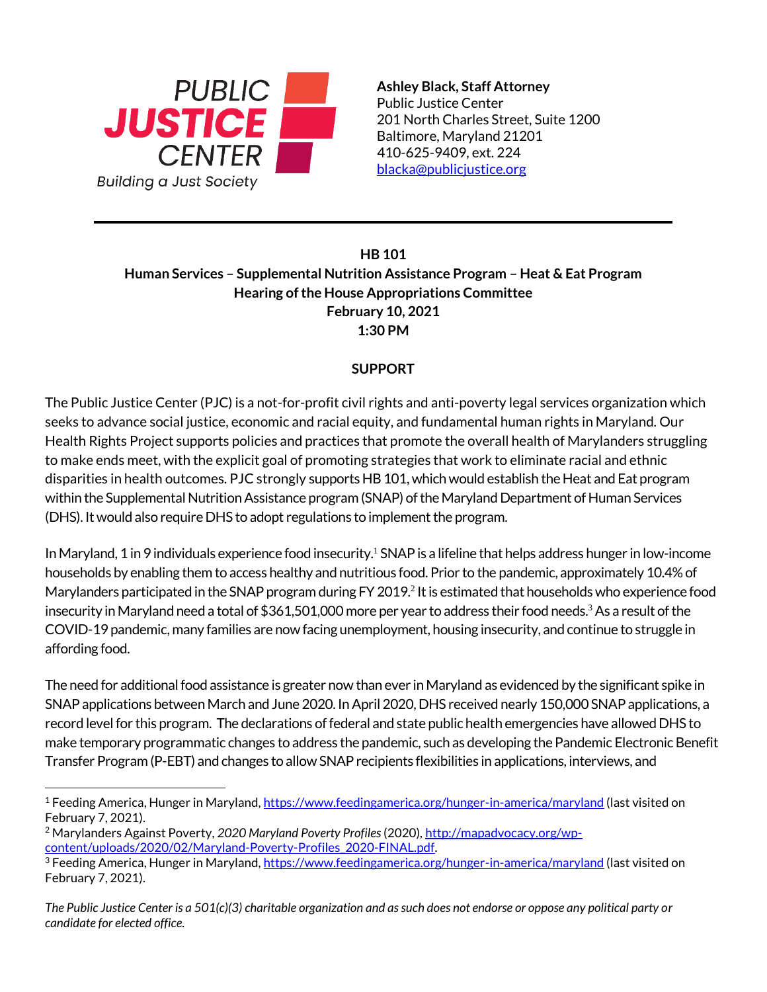

**Ashley Black, Staff Attorney** Public Justice Center 201 North Charles Street, Suite 1200 Baltimore, Maryland 21201 410-625-9409, ext. 224 [blacka@publicjustice.org](mailto:blacka@publicjustice.org)

## **HB 101 Human Services – Supplemental Nutrition Assistance Program – Heat & Eat Program Hearing of the House Appropriations Committee February 10, 2021 1:30 PM**

## **SUPPORT**

The Public Justice Center (PJC) is a not-for-profit civil rights and anti-poverty legal services organization which seeks to advance social justice, economic and racial equity, and fundamental human rights in Maryland. Our Health Rights Project supports policies and practices that promote the overall health of Marylanders struggling to make ends meet, with the explicit goal of promoting strategies that work to eliminate racial and ethnic disparities in health outcomes. PJC strongly supports HB 101, which would establish the Heat and Eat program within the Supplemental Nutrition Assistance program (SNAP) of the Maryland Department of Human Services (DHS). It would also require DHS to adopt regulations to implement the program.

In Maryland, 1 in 9 individuals experience food insecurity.<sup>1</sup> SNAP is a lifeline that helps address hunger in low-income households by enabling them to access healthy and nutritious food. Prior to the pandemic, approximately 10.4% of Marylanders participated in the SNAP program during FY 2019.<sup>2</sup> It is estimated that households who experience food insecurity in Maryland need a total of \$361,501,000 more per year to address their food needs. <sup>3</sup> As a result of the COVID-19 pandemic, many families are now facing unemployment, housing insecurity, and continue to struggle in affording food.

The need for additional food assistance is greater now than ever in Maryland as evidenced by the significant spike in SNAP applications between March and June 2020. In April 2020, DHS received nearly 150,000 SNAP applications, a record level for this program. The declarations of federal and state public health emergencies have allowed DHS to make temporary programmatic changes to address the pandemic, such as developing the Pandemic Electronic Benefit Transfer Program (P-EBT) and changes to allow SNAP recipients flexibilities in applications, interviews, and

*The Public Justice Center is a 501(c)(3) charitable organization and as such does not endorse or oppose any political party or candidate for elected office.* 

<sup>1</sup> Feeding America, Hunger in Maryland[, https://www.feedingamerica.org/hunger-in-america/maryland](https://www.feedingamerica.org/hunger-in-america/maryland) (last visited on February 7, 2021).

<sup>2</sup> Marylanders Against Poverty, *2020 Maryland Poverty Profiles*(2020)*,* [http://mapadvocacy.org/wp](http://mapadvocacy.org/wp-content/uploads/2020/02/Maryland-Poverty-Profiles_2020-FINAL.pdf)[content/uploads/2020/02/Maryland-Poverty-Profiles\\_2020-FINAL.pdf.](http://mapadvocacy.org/wp-content/uploads/2020/02/Maryland-Poverty-Profiles_2020-FINAL.pdf)

<sup>3</sup> Feeding America, Hunger in Maryland[, https://www.feedingamerica.org/hunger-in-america/maryland](https://www.feedingamerica.org/hunger-in-america/maryland) (last visited on February 7, 2021).